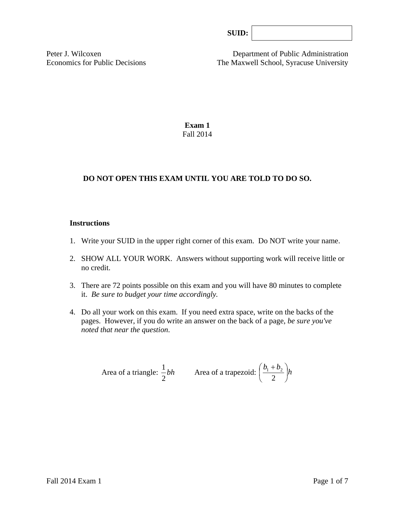Peter J. Wilcoxen Department of Public Administration Economics for Public Decisions The Maxwell School, Syracuse University

> **Exam 1**  Fall 2014

# **DO NOT OPEN THIS EXAM UNTIL YOU ARE TOLD TO DO SO.**

#### **Instructions**

- 1. Write your SUID in the upper right corner of this exam. Do NOT write your name.
- 2. SHOW ALL YOUR WORK. Answers without supporting work will receive little or no credit.
- 3. There are 72 points possible on this exam and you will have 80 minutes to complete it. *Be sure to budget your time accordingly.*
- 4. Do all your work on this exam. If you need extra space, write on the backs of the pages. However, if you do write an answer on the back of a page, *be sure you've noted that near the question*.

Area of a triangle: 
$$
\frac{1}{2}bh
$$
 Area of a trapezoid:  $\left(\frac{b_1 + b_2}{2}\right)h$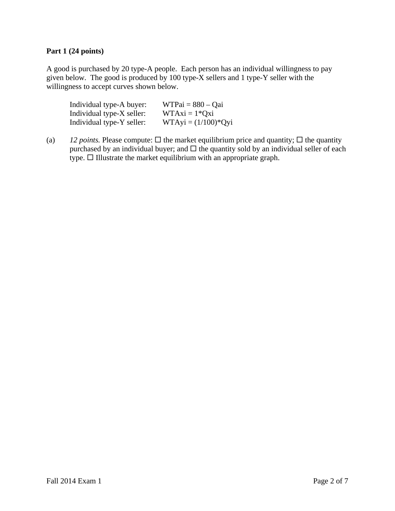# **Part 1 (24 points)**

A good is purchased by 20 type-A people. Each person has an individual willingness to pay given below. The good is produced by 100 type-X sellers and 1 type-Y seller with the willingness to accept curves shown below.

| Individual type-A buyer:  | $WTPai = 880 - Qai$   |
|---------------------------|-----------------------|
| Individual type-X seller: | $WTAxi = 1*Qxi$       |
| Individual type-Y seller: | $WTAyi = (1/100)*Qyi$ |

(a) *12 points.* Please compute:  $\Box$  the market equilibrium price and quantity;  $\Box$  the quantity purchased by an individual buyer; and  $\Box$  the quantity sold by an individual seller of each  $type.$   $\Box$  Illustrate the market equilibrium with an appropriate graph.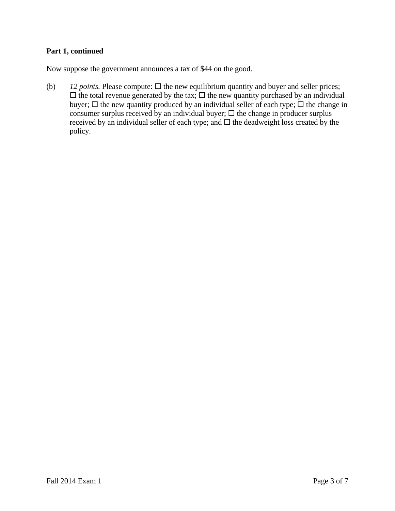### **Part 1, continued**

Now suppose the government announces a tax of \$44 on the good.

(b)  $12 points$ . Please compute:  $\Box$  the new equilibrium quantity and buyer and seller prices;  $\Box$  the total revenue generated by the tax;  $\Box$  the new quantity purchased by an individual buyer;  $\Box$  the new quantity produced by an individual seller of each type;  $\Box$  the change in consumer surplus received by an individual buyer;  $\Box$  the change in producer surplus received by an individual seller of each type; and  $\Box$  the deadweight loss created by the policy.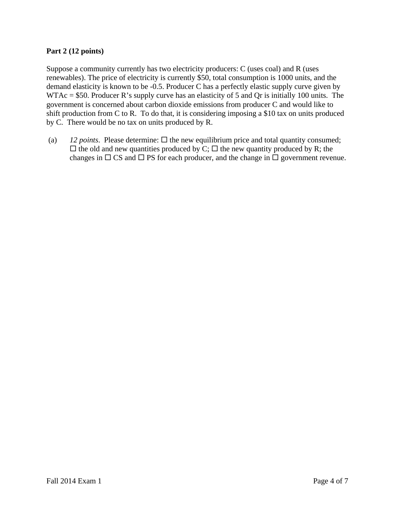# **Part 2 (12 points)**

Suppose a community currently has two electricity producers: C (uses coal) and R (uses renewables). The price of electricity is currently \$50, total consumption is 1000 units, and the demand elasticity is known to be -0.5. Producer C has a perfectly elastic supply curve given by WTAc = \$50. Producer R's supply curve has an elasticity of 5 and Qr is initially 100 units. The government is concerned about carbon dioxide emissions from producer C and would like to shift production from C to R. To do that, it is considering imposing a \$10 tax on units produced by C. There would be no tax on units produced by R.

(a) *12 points*. Please determine:  $\Box$  the new equilibrium price and total quantity consumed;  $\Box$  the old and new quantities produced by C;  $\Box$  the new quantity produced by R; the changes in  $\Box$  CS and  $\Box$  PS for each producer, and the change in  $\Box$  government revenue.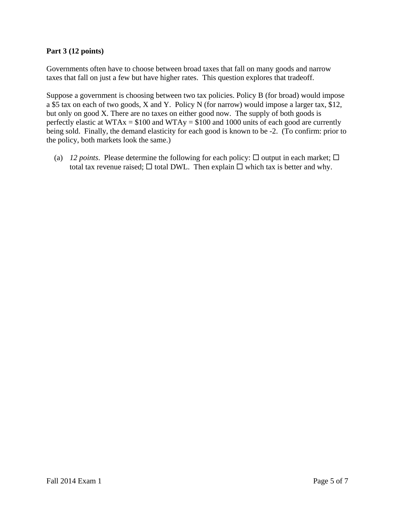# **Part 3 (12 points)**

Governments often have to choose between broad taxes that fall on many goods and narrow taxes that fall on just a few but have higher rates. This question explores that tradeoff.

Suppose a government is choosing between two tax policies. Policy B (for broad) would impose a \$5 tax on each of two goods, X and Y. Policy N (for narrow) would impose a larger tax, \$12, but only on good X. There are no taxes on either good now. The supply of both goods is perfectly elastic at WTAx = \$100 and WTAy = \$100 and 1000 units of each good are currently being sold. Finally, the demand elasticity for each good is known to be -2. (To confirm: prior to the policy, both markets look the same.)

(a) *12 points*. Please determine the following for each policy:  $\Box$  output in each market;  $\Box$ total tax revenue raised;  $\square$  total DWL. Then explain  $\square$  which tax is better and why.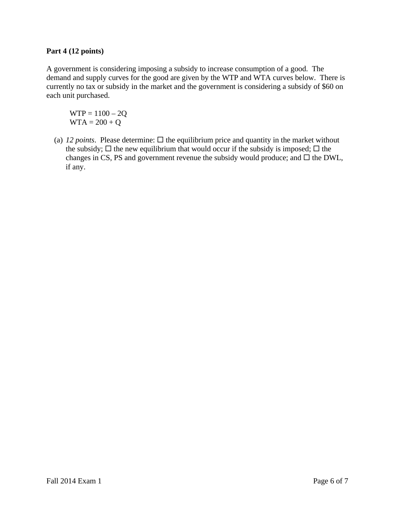# **Part 4 (12 points)**

A government is considering imposing a subsidy to increase consumption of a good. The demand and supply curves for the good are given by the WTP and WTA curves below. There is currently no tax or subsidy in the market and the government is considering a subsidy of \$60 on each unit purchased.

 $WTP = 1100 - 2Q$  $WTA = 200 + Q$ 

(a) 12 *points*. Please determine:  $\Box$  the equilibrium price and quantity in the market without the subsidy;  $\Box$  the new equilibrium that would occur if the subsidy is imposed;  $\Box$  the changes in CS, PS and government revenue the subsidy would produce; and  $\Box$  the DWL, if any.